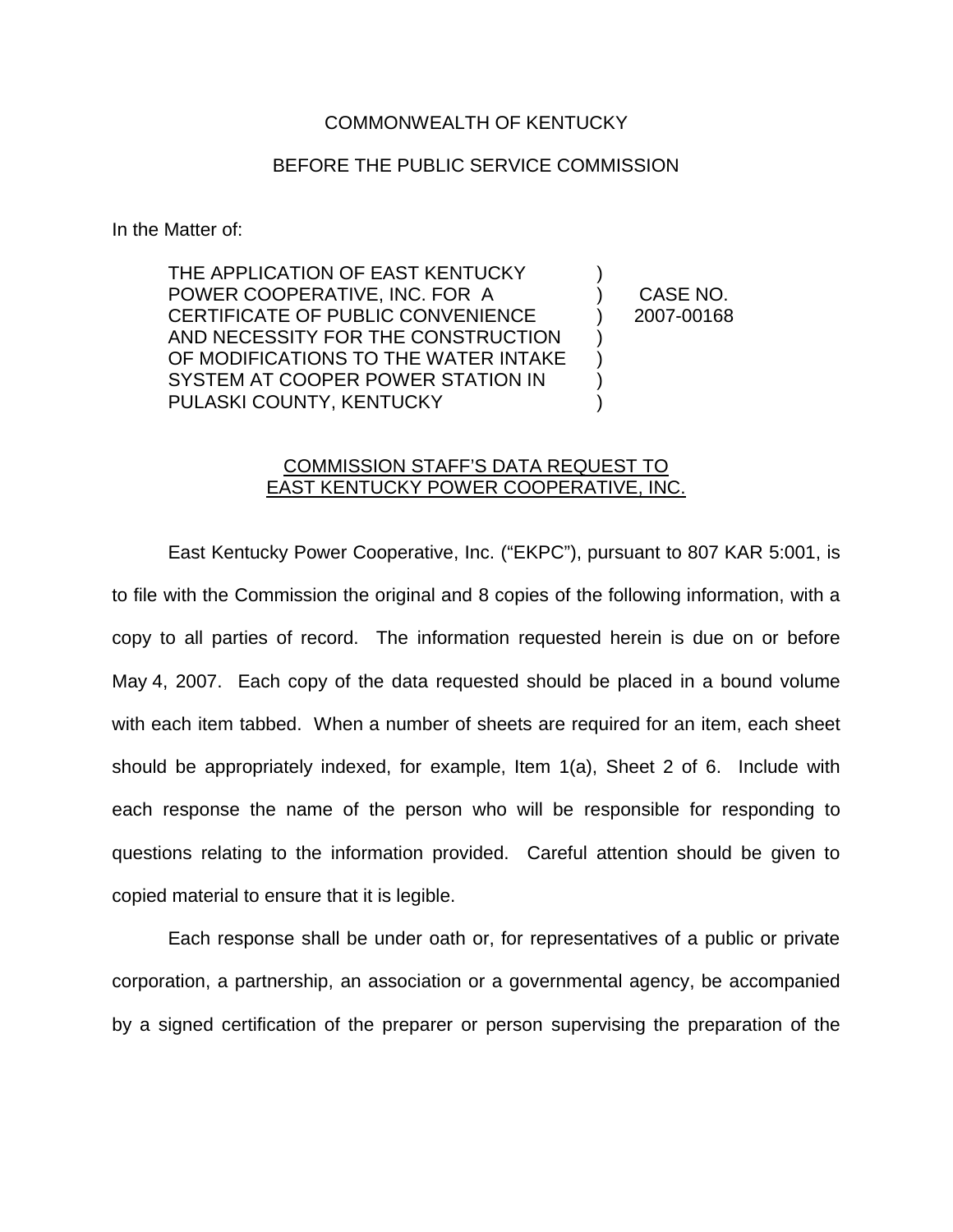## COMMONWEALTH OF KENTUCKY

## BEFORE THE PUBLIC SERVICE COMMISSION

In the Matter of:

THE APPLICATION OF EAST KENTUCKY POWER COOPERATIVE, INC. FOR A CERTIFICATE OF PUBLIC CONVENIENCE AND NECESSITY FOR THE CONSTRUCTION OF MODIFICATIONS TO THE WATER INTAKE SYSTEM AT COOPER POWER STATION IN PULASKI COUNTY, KENTUCKY ) ) ) ) )

) CASE NO. ) 2007-00168

## COMMISSION STAFF'S DATA REQUEST TO **EAST KENTUCKY POWER COOPERATIVE, INC.**

East Kentucky Power Cooperative, Inc. ("EKPC"), pursuant to 807 KAR 5:001, is to file with the Commission the original and 8 copies of the following information, with a copy to all parties of record. The information requested herein is due on or before May 4, 2007. Each copy of the data requested should be placed in a bound volume with each item tabbed. When a number of sheets are required for an item, each sheet should be appropriately indexed, for example, Item 1(a), Sheet 2 of 6. Include with each response the name of the person who will be responsible for responding to questions relating to the information provided. Careful attention should be given to copied material to ensure that it is legible.

Each response shall be under oath or, for representatives of a public or private corporation, a partnership, an association or a governmental agency, be accompanied by a signed certification of the preparer or person supervising the preparation of the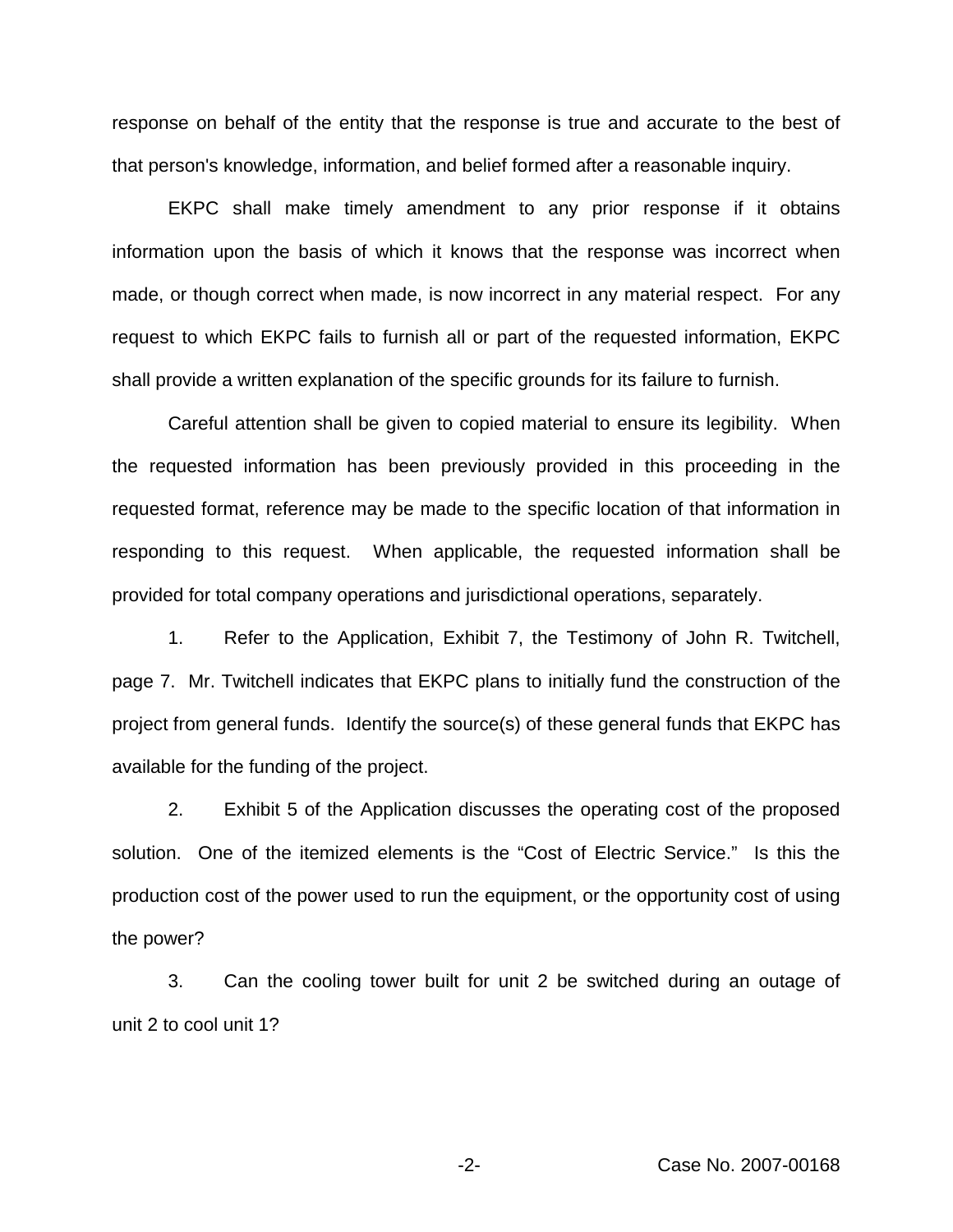response on behalf of the entity that the response is true and accurate to the best of that person's knowledge, information, and belief formed after a reasonable inquiry.

EKPC shall make timely amendment to any prior response if it obtains information upon the basis of which it knows that the response was incorrect when made, or though correct when made, is now incorrect in any material respect. For any request to which EKPC fails to furnish all or part of the requested information, EKPC shall provide a written explanation of the specific grounds for its failure to furnish.

Careful attention shall be given to copied material to ensure its legibility. When the requested information has been previously provided in this proceeding in the requested format, reference may be made to the specific location of that information in responding to this request. When applicable, the requested information shall be provided for total company operations and jurisdictional operations, separately.

1. Refer to the Application, Exhibit 7, the Testimony of John R. Twitchell, page 7. Mr. Twitchell indicates that EKPC plans to initially fund the construction of the project from general funds. Identify the source(s) of these general funds that EKPC has available for the funding of the project.

2. Exhibit 5 of the Application discusses the operating cost of the proposed solution. One of the itemized elements is the "Cost of Electric Service." Is this the production cost of the power used to run the equipment, or the opportunity cost of using the power?

3. Can the cooling tower built for unit 2 be switched during an outage of unit 2 to cool unit 1?